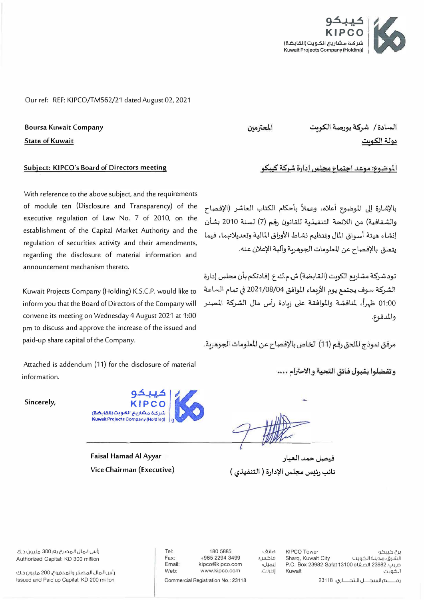

Our ref: REF: KIPCO/TM562/21 dated August 02, 2021

**Boursa Kuwait Company** 

**State of Kuwait** 

## Subject: KIPCO's Board of Directors meeting

With reference to the above subject, and the requirements of module ten (Disclosure and Transparency) of the executive regulation of Law No. 7 of 2010, on the establishment of the Capital Market Authority and the regulation of securities activity and their amendments, regarding the disclosure of material information and announcement mechanism thereto.

Kuwait Projects Company (Holding) K.S.C.P. would like to inform you that the Board of Directors of the Company will convene its meeting on Wednesday 4 August 2021 at 1:00 pm to discuss and approve the increase of the issued and paid-up share capital of the Company.

Attached is addendum (11) for the disclosure of material information.

Sincerely,



**Faisal Hamad Al Ayyar** Vice Chairman (Executive)

180 5885 +965 2294 3499 kipco@kipco.com

www.kipco.com

هاتف؛ فاكس: إيميل: إنترنت:

نائب رئيس مجلس الإدارة ( التنفيذي )

**KIPCO Tower** برج کیبکو Sharq, Kuwait City الشرق، مدينة الكويت P.O. Box 23982 Safat 13100 ق الصفاة P.O. Box 23982 Safat 13100 Kuwait الكويت

رة هالسجـــل الـتجـــاري: 23118

المحترمين

السادة / شركة بورصة الكومت دولة الكوس

الموضوع: موعد اجتماع مجلس إدارة شركة كيبكو

بالإشارة إلى الموضوع أعلاه، وعملاً بأحكام الكتاب العاشر (الإفصاح والشفافية) من اللائحة التنفيذية للقانون رقم (7) لسنة 2010 بشأن إنشاء هيئة أسواق المال وتنظيم نشاط الأوراق المالية وتعديلاتهما، فيما يتعلق بالإفصاح عن المعلومات الجوهرية وآلية الإعلان عنه.

تود شركة مشاريع الكويت (القابضة) ش.م.ك.ع إفادتكم بأن مجلس إدارة الشركة سوف يجتمع يوم الأربعاء الموافق 04/08/04 في تمام الساعة 01:00 ظهراً، لمناقشة والموافقة على زبادة رأس مال الشركة المصدر والمدفوع.

مرفق نموذج الملحق رقم (11) الخاص بالإفصاح عن المعلومات الجوهربة.

فيصل حمد العيار

وتفضلوا بقبول فائق التحية والاحترام ....

رأس المال المصرح به؛ 300 مليون د.ك Authorized Capital: KD 300 million

رأس المال المصدر والمدفوع، 200 مليون د.ك Issued and Paid up Capital: KD 200 million

Fax: Email: Web:

Tel:

Commercial Registration No.: 23118